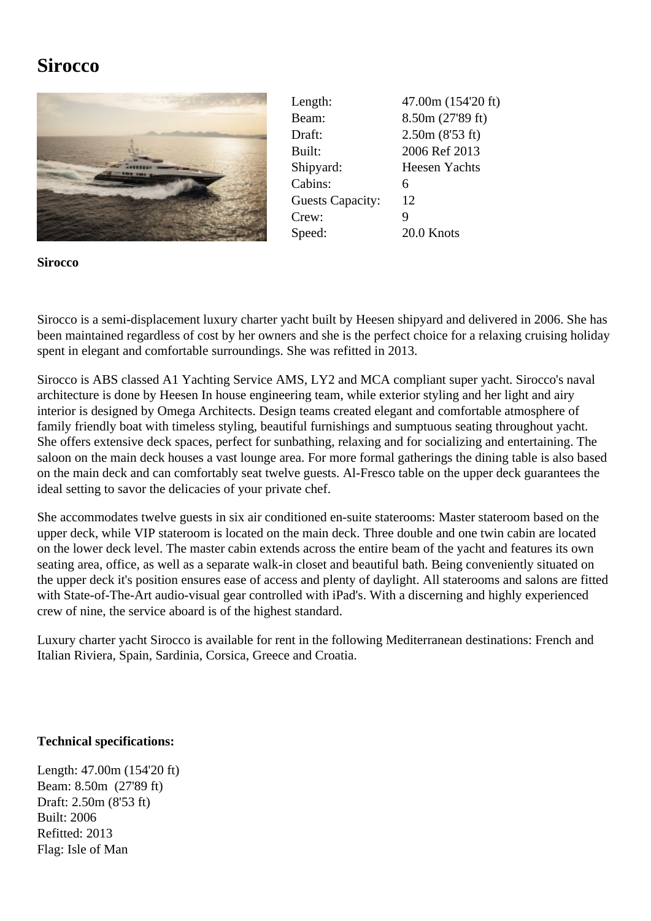## **Sirocco**



Length: 47.00m (154'20 ft) Beam: 8.50m (27'89 ft) Draft: 2.50m (8'53 ft) Built: 2006 Ref 2013 Shipyard: Heesen Yachts Cabins: 6 Guests Capacity: 12 Crew: 9 Speed: 20.0 Knots

**Sirocco**

Sirocco is a semi-displacement luxury charter yacht built by Heesen shipyard and delivered in 2006. She has been maintained regardless of cost by her owners and she is the perfect choice for a relaxing cruising holiday spent in elegant and comfortable surroundings. She was refitted in 2013.

Sirocco is ABS classed A1 Yachting Service AMS, LY2 and MCA compliant super yacht. Sirocco's naval architecture is done by Heesen In house engineering team, while exterior styling and her light and airy interior is designed by Omega Architects. Design teams created elegant and comfortable atmosphere of family friendly boat with timeless styling, beautiful furnishings and sumptuous seating throughout yacht. She offers extensive deck spaces, perfect for sunbathing, relaxing and for socializing and entertaining. The saloon on the main deck houses a vast lounge area. For more formal gatherings the dining table is also based on the main deck and can comfortably seat twelve guests. Al-Fresco table on the upper deck guarantees the ideal setting to savor the delicacies of your private chef.

She accommodates twelve guests in six air conditioned en-suite staterooms: Master stateroom based on the upper deck, while VIP stateroom is located on the main deck. Three double and one twin cabin are located on the lower deck level. The master cabin extends across the entire beam of the yacht and features its own seating area, office, as well as a separate walk-in closet and beautiful bath. Being conveniently situated on the upper deck it's position ensures ease of access and plenty of daylight. All staterooms and salons are fitted with State-of-The-Art audio-visual gear controlled with iPad's. With a discerning and highly experienced crew of nine, the service aboard is of the highest standard.

Luxury charter yacht Sirocco is available for rent in the following Mediterranean destinations: French and Italian Riviera, Spain, Sardinia, Corsica, Greece and Croatia.

## **Technical specifications:**

Length: 47.00m (154'20 ft) Beam: 8.50m (27'89 ft) Draft: 2.50m (8'53 ft) Built: 2006 Refitted: 2013 Flag: Isle of Man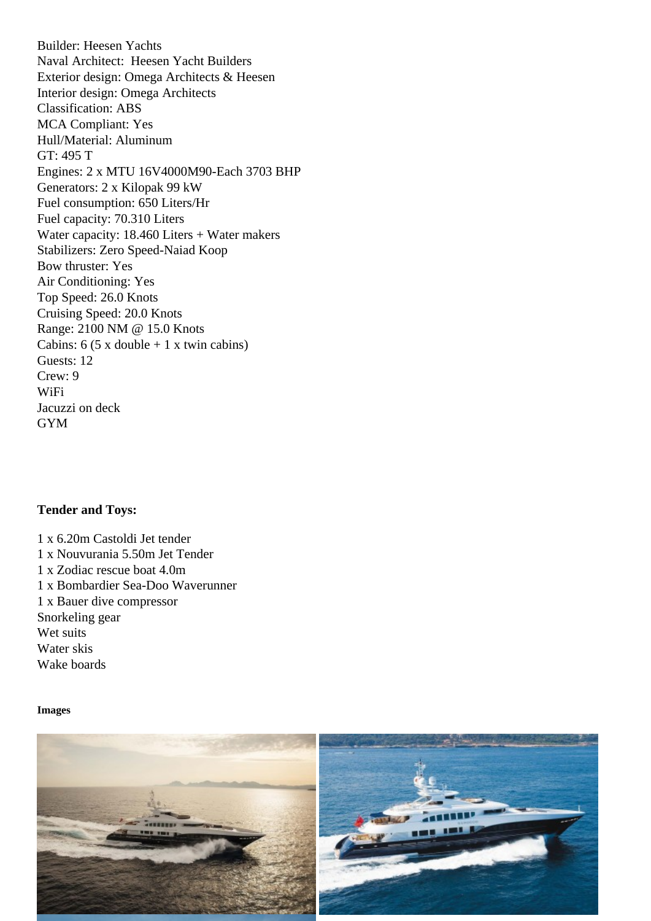Naval Architect: Heesen Yacht Builders Exterior design: Omega Architects & Heesen Interior design: Omega Architects Classification: ABS MCA Compliant: Yes Hull/Material: Aluminum GT: 495 T Engines: 2 x MTU 16V4000M90-Each 3703 BHP Generators: 2 x Kilopak 99 kW Fuel consumption: 650 Liters/Hr Fuel capacity: 70.310 Liters Water capacity: 18.460 Liters + Water makers Stabilizers: Zero Speed-Naiad Koop Bow thruster: Yes Air Conditioning: Yes Top Speed: 26.0 Knots Cruising Speed: 20.0 Knots Range: 2100 NM @ 15.0 Knots Cabins:  $6$  (5 x double  $+$  1 x twin cabins) Guests: 12 Crew: 9 WiFi Jacuzzi on deck GYM

Tender and Toys:

1 x 6.20m Castoldi Jet tender 1 x Nouvurania 5.50m Jet Tender 1 x Zodiac rescue boat 4.0m 1 x Bombardier Sea-Doo Waverunner 1 x Bauer dive compressor Snorkeling gear Wet suits Water skis Wake boards

Images